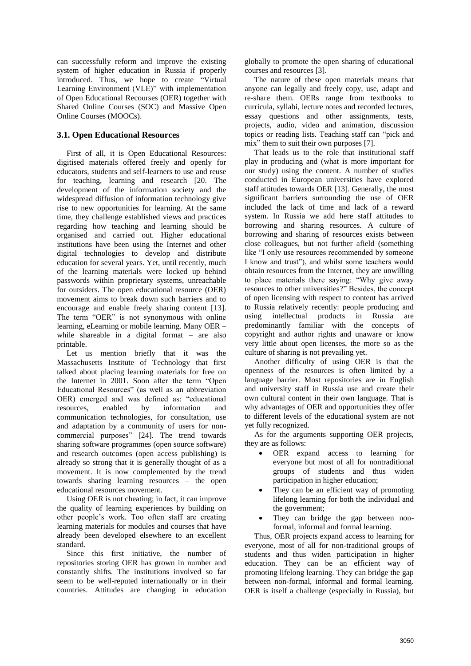can successfully reform and improve the existing system of higher education in Russia if properly introduced. Thus, we hope to create "Virtual Learning Environment (VLE)" with implementation of Open Educational Recourses (OER) together with Shared Online Courses (SOC) and Massive Open Online Courses (MOOCs).

### **3.1. Open Educational Resources**

First of all, it is Open Educational Resources: digitised materials offered freely and openly for educators, students and self-learners to use and reuse for teaching, learning and research [20. The development of the information society and the widespread diffusion of information technology give rise to new opportunities for learning. At the same time, they challenge established views and practices regarding how teaching and learning should be organised and carried out. Higher educational institutions have been using the Internet and other digital technologies to develop and distribute education for several years. Yet, until recently, much of the learning materials were locked up behind passwords within proprietary systems, unreachable for outsiders. The open educational resource (OER) movement aims to break down such barriers and to encourage and enable freely sharing content [13]. The term "OER" is not synonymous with online learning, eLearning or mobile learning. Many OER – while shareable in a digital format – are also printable.

Let us mention briefly that it was the Massachusetts Institute of Technology that first talked about placing learning materials for free on the Internet in 2001. Soon after the term "Open Educational Resources" (as well as an abbreviation OER) emerged and was defined as: "educational resources, enabled by information and communication technologies, for consultation, use and adaptation by a community of users for noncommercial purposes" [24]. The trend towards sharing software programmes (open source software) and research outcomes (open access publishing) is already so strong that it is generally thought of as a movement. It is now complemented by the trend towards sharing learning resources – the open educational resources movement.

Using OER is not cheating; in fact, it can improve the quality of learning experiences by building on other people's work. Too often staff are creating learning materials for modules and courses that have already been developed elsewhere to an excellent standard.

Since this first initiative, the number of repositories storing OER has grown in number and constantly shifts. The institutions involved so far seem to be well-reputed internationally or in their countries. Attitudes are changing in education

globally to promote the open sharing of educational courses and resources [3].

The nature of these open materials means that anyone can legally and freely copy, use, adapt and re-share them. OERs range from textbooks to curricula, syllabi, lecture notes and recorded lectures, essay questions and other assignments, tests, projects, audio, video and animation, discussion topics or reading lists. Teaching staff can "pick and mix" them to suit their own purposes [7].

That leads us to the role that institutional staff play in producing and (what is more important for our study) using the content. A number of studies conducted in European universities have explored staff attitudes towards OER [13]. Generally, the most significant barriers surrounding the use of OER included the lack of time and lack of a reward system. In Russia we add here staff attitudes to borrowing and sharing resources. A culture of borrowing and sharing of resources exists between close colleagues, but not further afield (something like "I only use resources recommended by someone I know and trust"), and whilst some teachers would obtain resources from the Internet, they are unwilling to place materials there saying: "Why give away resources to other universities?" Besides, the concept of open licensing with respect to content has arrived to Russia relatively recently: people producing and<br>using intellectual products in Russia are using intellectual products in Russia are predominantly familiar with the concepts of copyright and author rights and unaware or know very little about open licenses, the more so as the culture of sharing is not prevailing yet.

Another difficulty of using OER is that the openness of the resources is often limited by a language barrier. Most repositories are in English and university staff in Russia use and create their own cultural content in their own language. That is why advantages of OER and opportunities they offer to different levels of the educational system are not yet fully recognized.

As for the arguments supporting OER projects, they are as follows:

- OER expand access to learning for everyone but most of all for nontraditional groups of students and thus widen participation in higher education;
- They can be an efficient way of promoting lifelong learning for both the individual and the government;
- They can bridge the gap between nonformal, informal and formal learning.

Thus, OER projects expand access to learning for everyone, most of all for non-traditional groups of students and thus widen participation in higher education. They can be an efficient way of promoting lifelong learning. They can bridge the gap between non-formal, informal and formal learning. OER is itself a challenge (especially in Russia), but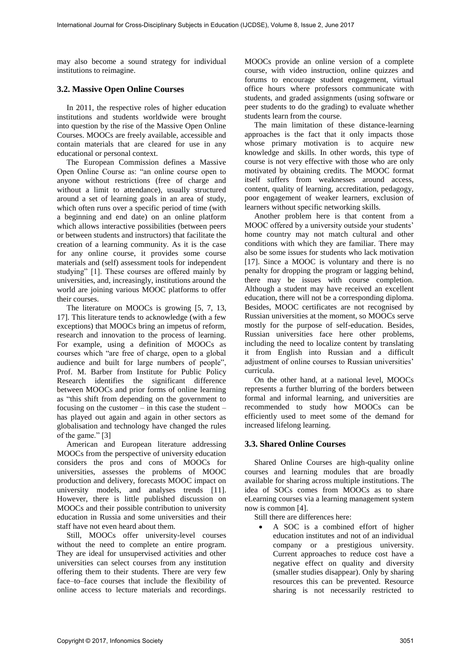may also become a sound strategy for individual institutions to reimagine.

#### **3.2. Massive Open Online Courses**

In 2011, the respective roles of higher education institutions and students worldwide were brought into question by the rise of the Massive Open Online Courses. MOOCs are freely available, accessible and contain materials that are cleared for use in any educational or personal context.

The European Commission defines a Massive Open Online Course as: "an online course open to anyone without restrictions (free of charge and without a limit to attendance), usually structured around a set of learning goals in an area of study, which often runs over a specific period of time (with a beginning and end date) on an online platform which allows interactive possibilities (between peers or between students and instructors) that facilitate the creation of a learning community. As it is the case for any online course, it provides some course materials and (self) assessment tools for independent studying" [1]. These courses are offered mainly by universities, and, increasingly, institutions around the world are joining various MOOC platforms to offer their courses.

The literature on MOOCs is growing [5, 7, 13, 17]. This literature tends to acknowledge (with a few exceptions) that MOOCs bring an impetus of reform, research and innovation to the process of learning. For example, using a definition of MOOCs as courses which "are free of charge, open to a global audience and built for large numbers of people", Prof. M. Barber from Institute for Public Policy Research identifies the significant difference between MOOCs and prior forms of online learning as "this shift from depending on the government to focusing on the customer – in this case the student – has played out again and again in other sectors as globalisation and technology have changed the rules of the game." [3]

American and European literature addressing MOOCs from the perspective of university education considers the pros and cons of MOOCs for universities, assesses the problems of MOOC production and delivery, forecasts MOOC impact on university models, and analyses trends [11]. However, there is little published discussion on MOOCs and their possible contribution to university education in Russia and some universities and their staff have not even heard about them.

Still, MOOCs offer university-level courses without the need to complete an entire program. They are ideal for unsupervised activities and other universities can select courses from any institution offering them to their students. There are very few face–to–face courses that include the flexibility of online access to lecture materials and recordings.

MOOCs provide an online version of a complete course, with video instruction, online quizzes and forums to encourage student engagement, virtual office hours where professors communicate with students, and graded assignments (using software or peer students to do the grading) to evaluate whether students learn from the course.

The main limitation of these distance-learning approaches is the fact that it only impacts those whose primary motivation is to acquire new knowledge and skills. In other words, this type of course is not very effective with those who are only motivated by obtaining credits. The MOOC format itself suffers from weaknesses around access, content, quality of learning, accreditation, pedagogy, poor engagement of weaker learners, exclusion of learners without specific networking skills.

Another problem here is that content from a MOOC offered by a university outside your students' home country may not match cultural and other conditions with which they are familiar. There may also be some issues for students who lack motivation [17]. Since a MOOC is voluntary and there is no penalty for dropping the program or lagging behind, there may be issues with course completion. Although a student may have received an excellent education, there will not be a corresponding diploma. Besides, MOOC certificates are not recognised by Russian universities at the moment, so MOOCs serve mostly for the purpose of self-education. Besides, Russian universities face here other problems, including the need to localize content by translating it from English into Russian and a difficult adjustment of online courses to Russian universities' curricula.

On the other hand, at a national level, MOOCs represents a further blurring of the borders between formal and informal learning, and universities are recommended to study how MOOCs can be efficiently used to meet some of the demand for increased lifelong learning.

#### **3.3. Shared Online Courses**

Shared Online Courses are high-quality online courses and learning modules that are broadly available for sharing across multiple institutions. The idea of SOCs comes from MOOCs as to share eLearning courses via a learning management system now is common [4].

Still there are differences here:

 A SOC is a combined effort of higher education institutes and not of an individual company or a prestigious university. Current approaches to reduce cost have a negative effect on quality and diversity (smaller studies disappear). Only by sharing resources this can be prevented. Resource sharing is not necessarily restricted to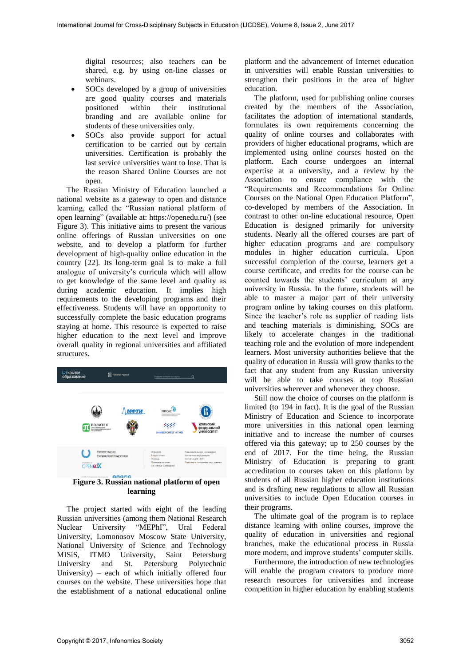digital resources; also teachers can be shared, e.g. by using on-line classes or webinars.

- SOCs developed by a group of universities are good quality courses and materials<br>positioned within their institutional their institutional branding and are available online for students of these universities only.
- SOCs also provide support for actual certification to be carried out by certain universities. Certification is probably the last service universities want to lose. That is the reason Shared Online Courses are not open.

The Russian Ministry of Education launched a national website as a gateway to open and distance learning, called the "Russian national platform of open learning" (available at: https://openedu.ru/) (see Figure 3). This initiative aims to present the various online offerings of Russian universities on one website, and to develop a platform for further development of high-quality online education in the country [22]. Its long-term goal is to make a full analogue of university's curricula which will allow to get knowledge of the same level and quality as during academic education. It implies high requirements to the developing programs and their effectiveness. Students will have an opportunity to successfully complete the basic education programs staying at home. This resource is expected to raise higher education to the next level and improve overall quality in regional universities and affiliated structures.

| <b><i><u>Открытое</u></i></b><br>образование | <b>OR</b> Hatanor wypcos                                                                                                                          |      | Найдите интересные курсы                                                        | Q                                                                                                             |
|----------------------------------------------|---------------------------------------------------------------------------------------------------------------------------------------------------|------|---------------------------------------------------------------------------------|---------------------------------------------------------------------------------------------------------------|
|                                              | ПОЛИТЕХ<br>Санкт-Петербургский<br>политехнический университет<br><b>Senau Remessors</b>                                                           | МФТИ | manipulation and soundered attent<br>УНИВЕРСИТЕТ ИТМО                           | Уральский<br>федеральный<br>университет                                                                       |
|                                              | Каталог курсов<br>Направления подготовки<br>OPENEOX<br><b>BOBOO</b><br>© 2017 Открытое образование<br>Figure 3. Russian national platform of open |      | О проекте<br>Bonpoc-orper<br>Помощь<br>Проверка системы<br>Системные требования | Пользовательское соглашение<br>Контактная информация<br>Контакты для СМИ<br>Политика в отношении перс. данных |

**learning** 

The project started with eight of the leading Russian universities (among them National Research Nuclear University "MEPhI", Ural Federal University, Lomonosov Moscow State University, National University of Science and Technology MISiS, ITMO University, Saint Petersburg University and St. Petersburg Polytechnic University) – each of which initially offered four courses on the website. These universities hope that the establishment of a national educational online

platform and the advancement of Internet education in universities will enable Russian universities to strengthen their positions in the area of higher education.

The platform, used for publishing online courses created by the members of the Association, facilitates the adoption of international standards, formulates its own requirements concerning the quality of online courses and collaborates with providers of higher educational programs, which are implemented using online courses hosted on the platform. Each course undergoes an internal expertise at a university, and a review by the Association to ensure compliance with the "Requirements and Recommendations for Online Courses on the National Open Education Platform", co-developed by members of the Association. In contrast to other on-line educational resource, Open Education is designed primarily for university students. Nearly all the offered courses are part of higher education programs and are compulsory modules in higher education curricula. Upon successful completion of the course, learners get a course certificate, and credits for the course can be counted towards the students' curriculum at any university in Russia. In the future, students will be able to master a major part of their university program online by taking courses on this platform. Since the teacher's role as supplier of reading lists and teaching materials is diminishing, SOCs are likely to accelerate changes in the traditional teaching role and the evolution of more independent learners. Most university authorities believe that the quality of education in Russia will grow thanks to the fact that any student from any Russian university will be able to take courses at top Russian universities wherever and whenever they choose.

Still now the choice of courses on the platform is limited (to 194 in fact). It is the goal of the Russian Ministry of Education and Science to incorporate more universities in this national open learning initiative and to increase the number of courses offered via this gateway; up to 250 courses by the end of 2017. For the time being, the Russian Ministry of Education is preparing to grant accreditation to courses taken on this platform by students of all Russian higher education institutions and is drafting new regulations to allow all Russian universities to include Open Education courses in their programs.

The ultimate goal of the program is to replace distance learning with online courses, improve the quality of education in universities and regional branches, make the educational process in Russia more modern, and improve students' computer skills.

Furthermore, the introduction of new technologies will enable the program creators to produce more research resources for universities and increase competition in higher education by enabling students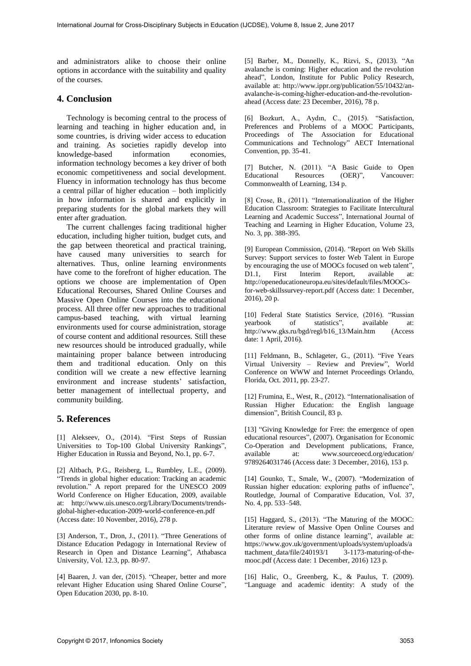and administrators alike to choose their online options in accordance with the suitability and quality of the courses.

# **4. Conclusion**

Technology is becoming central to the process of learning and teaching in higher education and, in some countries, is driving wider access to education and training. As societies rapidly develop into knowledge-based information economies, information technology becomes a key driver of both economic competitiveness and social development. Fluency in information technology has thus become a central pillar of higher education – both implicitly in how information is shared and explicitly in preparing students for the global markets they will enter after graduation.

The current challenges facing traditional higher education, including higher tuition, budget cuts, and the gap between theoretical and practical training, have caused many universities to search for alternatives. Thus, online learning environments have come to the forefront of higher education. The options we choose are implementation of Open Educational Recourses, Shared Online Courses and Massive Open Online Courses into the educational process. All three offer new approaches to traditional campus-based teaching, with virtual learning environments used for course administration, storage of course content and additional resources. Still these new resources should be introduced gradually, while maintaining proper balance between introducing them and traditional education. Only on this condition will we create a new effective learning environment and increase students' satisfaction, better management of intellectual property, and community building.

## **5. References**

[1] Alekseev, O., (2014). "First Steps of Russian Universities to Top-100 Global University Rankings", Higher Education in Russia and Beyond, No.1, pp. 6-7.

[2] Altbach, P.G., Reisberg, L., Rumbley, L.E., (2009). "Trends in global higher education: Tracking an academic revolution." A report prepared for the UNESCO 2009 World Conference on Higher Education, 2009, available at: http://www.uis.unesco.org/Library/Documents/trendsglobal-higher-education-2009-world-conference-en.pdf (Access date: 10 November, 2016), 278 p.

[3] Anderson, T., Dron, J., (2011). "Three Generations of Distance Education Pedagogy in International Review of Research in Open and Distance Learning", Athabasca University, Vol. 12.3, pp. 80-97.

[4] Baaren, J. van der, (2015). "Cheaper, better and more relevant Higher Education using Shared Online Course", Open Education 2030, pp. 8-10.

[5] Barber, M., Donnelly, K., Rizvi, S., (2013). "An avalanche is coming: Higher education and the revolution ahead", London, Institute for Public Policy Research, available at: http://www.ippr.org/publication/55/10432/anavalanche-is-coming-higher-education-and-the-revolutionahead (Access date: 23 December, 2016), 78 p.

[6] Bozkurt, A., Aydın, C., (2015). "Satisfaction, Preferences and Problems of a MOOC Participants, Proceedings of The Association for Educational Communications and Technology" AECT International Convention, pp. 35-41.

[7] Butcher, N. (2011). "A Basic Guide to Open Educational Resources (OER)", Vancouver: Educational Resources (OER)", Vancouver: Commonwealth of Learning, 134 p.

[8] Crose, B., (2011). "Internationalization of the Higher Education Classroom: Strategies to Facilitate Intercultural Learning and Academic Success", International Journal of Teaching and Learning in Higher Education, Volume 23, No. 3, pp. 388-395.

[9] European Commission, (2014). "Report on Web Skills Survey: Support services to foster Web Talent in Europe by encouraging the use of MOOCs focused on web talent", D1.1, First Interim Report, available at: http://openeducationeuropa.eu/sites/default/files/MOOCsfor-web-skillssurvey-report.pdf (Access date: 1 December, 2016), 20 p.

[10] Federal State Statistics Service, (2016). "Russian yearbook of statistics", available at: http://www.gks.ru/bgd/regl/b16\_13/Main.htm (Access date: 1 April, 2016).

[11] Feldmann, B., Schlageter, G., (2011). "Five Years Virtual University – Review and Preview", World Conference on WWW and Internet Proceedings Orlando, Florida, Oct. 2011, pp. 23-27.

[12] Frumina, E., West, R., (2012). "Internationalisation of Russian Higher Education: the English language dimension", British Council, 83 p.

[13] "Giving Knowledge for Free: the emergence of open educational resources", (2007). Organisation for Economic Co-Operation and Development publications, France, available at: www.sourceoecd.org/education/ 9789264031746 (Access date: 3 December, 2016), 153 p.

[14] Gounko, T., Smale, W., (2007). "Modernization of Russian higher education: exploring paths of influence", Routledge, Journal of Comparative Education, Vol. 37, No. 4, pp. 533–548.

[15] Haggard, S., (2013). "The Maturing of the MOOC: Literature review of Massive Open Online Courses and other forms of online distance learning", available at: https://www.gov.uk/government/uploads/system/uploads/a ttachment\_data/file/240193/1 3-1173-maturing-of-themooc.pdf (Access date: 1 December, 2016) 123 p.

[16] Halic, O., Greenberg, K., & Paulus, T. (2009). "Language and academic identity: A study of the